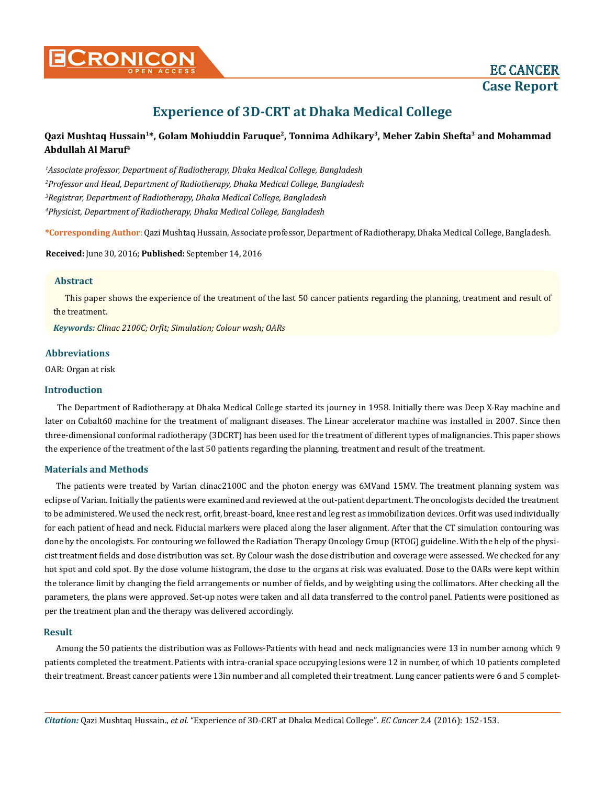# **Experience of 3D-CRT at Dhaka Medical College**

# **Qazi Mushtaq Hussain1\*, Golam Mohiuddin Faruque2, Tonnima Adhikary3, Meher Zabin Shefta3 and Mohammad Abdullah Al Maruf4**

 *Associate professor, Department of Radiotherapy, Dhaka Medical College, Bangladesh Professor and Head, Department of Radiotherapy, Dhaka Medical College, Bangladesh Registrar, Department of Radiotherapy, Dhaka Medical College, Bangladesh Physicist, Department of Radiotherapy, Dhaka Medical College, Bangladesh*

**\*Corresponding Author**: Qazi Mushtaq Hussain, Associate professor, Department of Radiotherapy, Dhaka Medical College, Bangladesh.

#### **Received:** June 30, 2016; **Published:** September 14, 2016

## **Abstract**

This paper shows the experience of the treatment of the last 50 cancer patients regarding the planning, treatment and result of the treatment.

*Keywords: Clinac 2100C; Orfit; Simulation; Colour wash; OARs*

## **Abbreviations**

OAR: Organ at risk

#### **Introduction**

The Department of Radiotherapy at Dhaka Medical College started its journey in 1958. Initially there was Deep X-Ray machine and later on Cobalt60 machine for the treatment of malignant diseases. The Linear accelerator machine was installed in 2007. Since then three-dimensional conformal radiotherapy (3DCRT) has been used for the treatment of different types of malignancies. This paper shows the experience of the treatment of the last 50 patients regarding the planning, treatment and result of the treatment.

#### **Materials and Methods**

The patients were treated by Varian clinac2100C and the photon energy was 6MVand 15MV. The treatment planning system was eclipse of Varian. Initially the patients were examined and reviewed at the out-patient department. The oncologists decided the treatment to be administered. We used the neck rest, orfit, breast-board, knee rest and leg rest as immobilization devices. Orfit was used individually for each patient of head and neck. Fiducial markers were placed along the laser alignment. After that the CT simulation contouring was done by the oncologists. For contouring we followed the Radiation Therapy Oncology Group (RTOG) guideline. With the help of the physicist treatment fields and dose distribution was set. By Colour wash the dose distribution and coverage were assessed. We checked for any hot spot and cold spot. By the dose volume histogram, the dose to the organs at risk was evaluated. Dose to the OARs were kept within the tolerance limit by changing the field arrangements or number of fields, and by weighting using the collimators. After checking all the parameters, the plans were approved. Set-up notes were taken and all data transferred to the control panel. Patients were positioned as per the treatment plan and the therapy was delivered accordingly.

#### **Result**

Among the 50 patients the distribution was as Follows-Patients with head and neck malignancies were 13 in number among which 9 patients completed the treatment. Patients with intra-cranial space occupying lesions were 12 in number, of which 10 patients completed their treatment. Breast cancer patients were 13in number and all completed their treatment. Lung cancer patients were 6 and 5 complet-